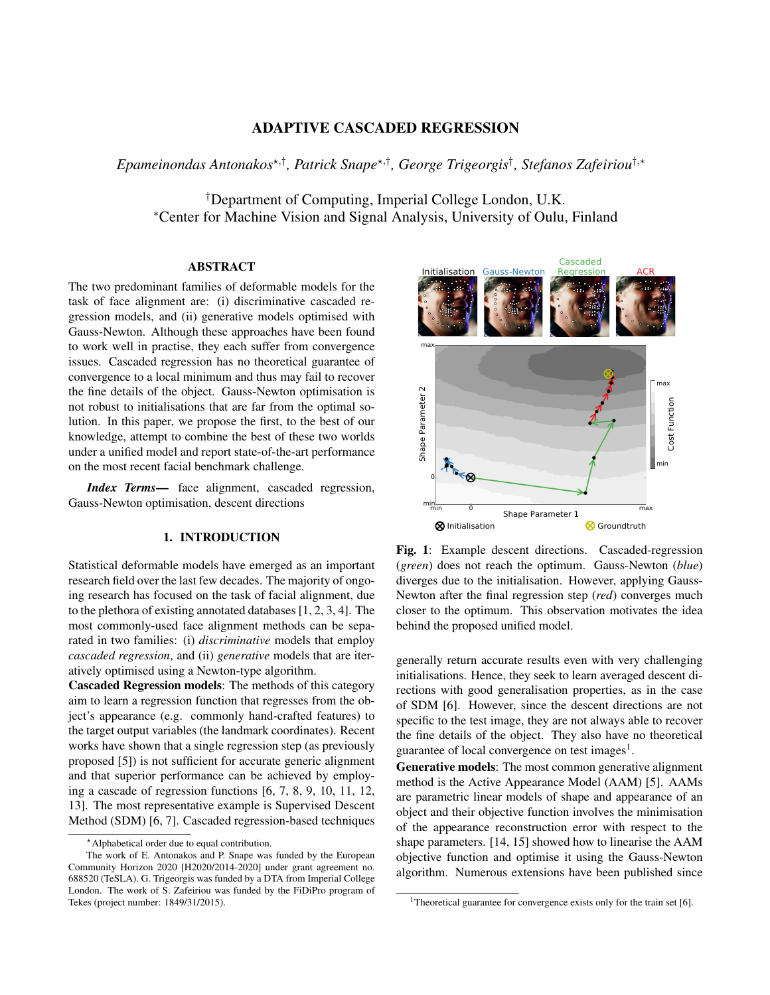# ADAPTIVE CASCADED REGRESSION

*Epameinondas Antonakos*?,† *, Patrick Snape*?,† *, George Trigeorgis*† *, Stefanos Zafeiriou*†,<sup>∗</sup>

†Department of Computing, Imperial College London, U.K. <sup>∗</sup>Center for Machine Vision and Signal Analysis, University of Oulu, Finland

### ABSTRACT

The two predominant families of deformable models for the task of face alignment are: (i) discriminative cascaded regression models, and (ii) generative models optimised with Gauss-Newton. Although these approaches have been found to work well in practise, they each suffer from convergence issues. Cascaded regression has no theoretical guarantee of convergence to a local minimum and thus may fail to recover the fine details of the object. Gauss-Newton optimisation is not robust to initialisations that are far from the optimal solution. In this paper, we propose the first, to the best of our knowledge, attempt to combine the best of these two worlds under a unified model and report state-of-the-art performance on the most recent facial benchmark challenge.

*Index Terms*— face alignment, cascaded regression, Gauss-Newton optimisation, descent directions

## 1. INTRODUCTION

Statistical deformable models have emerged as an important research field over the last few decades. The majority of ongoing research has focused on the task of facial alignment, due to the plethora of existing annotated databases [1, 2, 3, 4]. The most commonly-used face alignment methods can be separated in two families: (i) *discriminative* models that employ *cascaded regression*, and (ii) *generative* models that are iteratively optimised using a Newton-type algorithm.

Cascaded Regression models: The methods of this category aim to learn a regression function that regresses from the object's appearance (e.g. commonly hand-crafted features) to the target output variables (the landmark coordinates). Recent works have shown that a single regression step (as previously proposed [5]) is not sufficient for accurate generic alignment and that superior performance can be achieved by employing a cascade of regression functions [6, 7, 8, 9, 10, 11, 12, 13]. The most representative example is Supervised Descent Method (SDM) [6, 7]. Cascaded regression-based techniques



Fig. 1: Example descent directions. Cascaded-regression (*green*) does not reach the optimum. Gauss-Newton (*blue*) diverges due to the initialisation. However, applying Gauss-Newton after the final regression step (*red*) converges much closer to the optimum. This observation motivates the idea behind the proposed unified model.

generally return accurate results even with very challenging initialisations. Hence, they seek to learn averaged descent directions with good generalisation properties, as in the case of SDM [6]. However, since the descent directions are not specific to the test image, they are not always able to recover the fine details of the object. They also have no theoretical guarantee of local convergence on test images<sup>1</sup>.

Generative models: The most common generative alignment method is the Active Appearance Model (AAM) [5]. AAMs are parametric linear models of shape and appearance of an object and their objective function involves the minimisation of the appearance reconstruction error with respect to the shape parameters. [14, 15] showed how to linearise the AAM objective function and optimise it using the Gauss-Newton algorithm. Numerous extensions have been published since

<sup>?</sup>Alphabetical order due to equal contribution.

The work of E. Antonakos and P. Snape was funded by the European Community Horizon 2020 [H2020/2014-2020] under grant agreement no. 688520 (TeSLA). G. Trigeorgis was funded by a DTA from Imperial College London. The work of S. Zafeiriou was funded by the FiDiPro program of Tekes (project number: 1849/31/2015).

<sup>&</sup>lt;sup>1</sup>Theoretical guarantee for convergence exists only for the train set [6].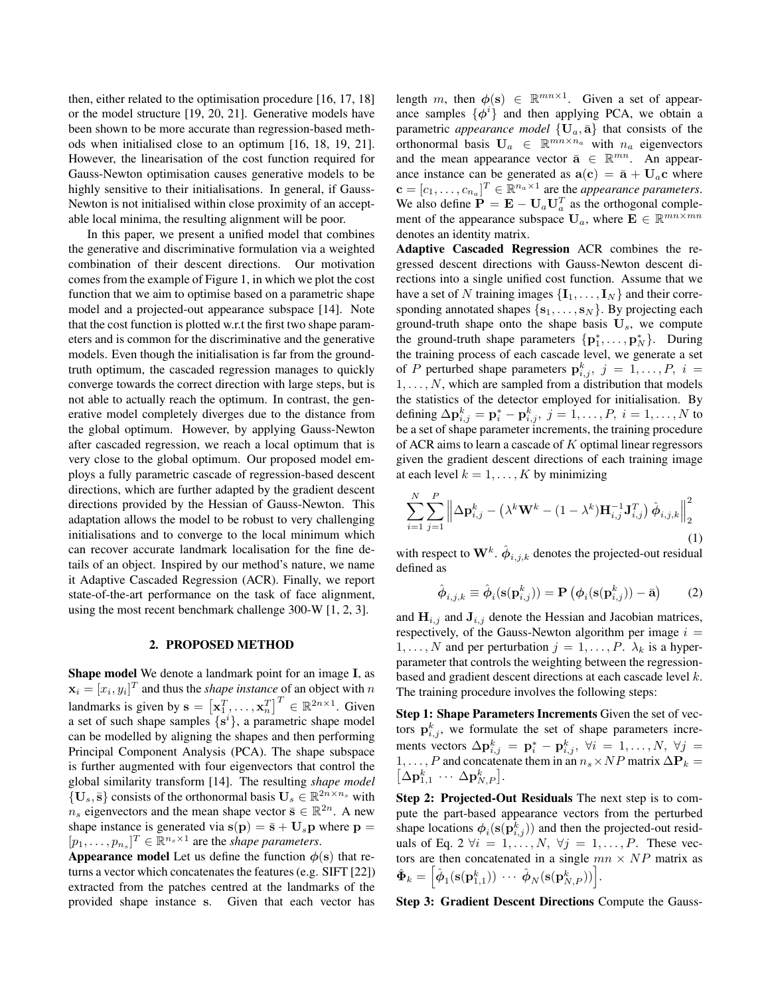then, either related to the optimisation procedure [16, 17, 18] or the model structure [19, 20, 21]. Generative models have been shown to be more accurate than regression-based methods when initialised close to an optimum [16, 18, 19, 21]. However, the linearisation of the cost function required for Gauss-Newton optimisation causes generative models to be highly sensitive to their initialisations. In general, if Gauss-Newton is not initialised within close proximity of an acceptable local minima, the resulting alignment will be poor.

In this paper, we present a unified model that combines the generative and discriminative formulation via a weighted combination of their descent directions. Our motivation comes from the example of Figure 1, in which we plot the cost function that we aim to optimise based on a parametric shape model and a projected-out appearance subspace [14]. Note that the cost function is plotted w.r.t the first two shape parameters and is common for the discriminative and the generative models. Even though the initialisation is far from the groundtruth optimum, the cascaded regression manages to quickly converge towards the correct direction with large steps, but is not able to actually reach the optimum. In contrast, the generative model completely diverges due to the distance from the global optimum. However, by applying Gauss-Newton after cascaded regression, we reach a local optimum that is very close to the global optimum. Our proposed model employs a fully parametric cascade of regression-based descent directions, which are further adapted by the gradient descent directions provided by the Hessian of Gauss-Newton. This adaptation allows the model to be robust to very challenging initialisations and to converge to the local minimum which can recover accurate landmark localisation for the fine details of an object. Inspired by our method's nature, we name it Adaptive Cascaded Regression (ACR). Finally, we report state-of-the-art performance on the task of face alignment, using the most recent benchmark challenge 300-W [1, 2, 3].

### 2. PROPOSED METHOD

Shape model We denote a landmark point for an image I, as  $\mathbf{x}_i = [x_i, y_i]^T$  and thus the *shape instance* of an object with n landmarks is given by  $\mathbf{s} = [\mathbf{x}_1^T, \dots, \mathbf{x}_n^T]^T \in \mathbb{R}^{2n \times 1}$ . Given a set of such shape samples  $\{s^i\}$ , a parametric shape model can be modelled by aligning the shapes and then performing Principal Component Analysis (PCA). The shape subspace is further augmented with four eigenvectors that control the global similarity transform [14]. The resulting *shape model*  $\{U_s, \bar{s}\}$  consists of the orthonormal basis  $U_s \in \mathbb{R}^{2n \times n_s}$  with  $n_s$  eigenvectors and the mean shape vector  $\bar{s} \in \mathbb{R}^{2n}$ . A new shape instance is generated via  $s(\mathbf{p}) = \bar{\mathbf{s}} + \mathbf{U}_s \mathbf{p}$  where  $\mathbf{p} =$  $[p_1, \ldots, p_{n_s}]^T \in \mathbb{R}^{n_s \times 1}$  are the *shape parameters*.

Appearance model Let us define the function  $\phi(s)$  that returns a vector which concatenates the features (e.g. SIFT [22]) extracted from the patches centred at the landmarks of the provided shape instance s. Given that each vector has

length m, then  $\phi(s) \in \mathbb{R}^{mn \times 1}$ . Given a set of appearance samples  $\{\phi^i\}$  and then applying PCA, we obtain a parametric *appearance model*  $\{U_a, \bar{a}\}\$  that consists of the orthonormal basis  $\mathbf{U}_a \in \mathbb{R}^{mn \times n_a}$  with  $n_a$  eigenvectors and the mean appearance vector  $\bar{\mathbf{a}} \in \mathbb{R}^{mn}$ . An appearance instance can be generated as  $a(c) = \bar{a} + U_a c$  where  $\mathbf{c} = [c_1, \dots, c_{n_a}]^T \in \mathbb{R}^{n_a \times 1}$  are the *appearance parameters*. We also define  $\mathbf{P} = \mathbf{E} - \mathbf{U}_a \mathbf{U}_a^T$  as the orthogonal complement of the appearance subspace  $U_a$ , where  $\mathbf{E} \in \mathbb{R}^{mn \times mn}$ denotes an identity matrix.

Adaptive Cascaded Regression ACR combines the regressed descent directions with Gauss-Newton descent directions into a single unified cost function. Assume that we have a set of N training images  $\{I_1, \ldots, I_N\}$  and their corresponding annotated shapes  $\{s_1, \ldots, s_N\}$ . By projecting each ground-truth shape onto the shape basis  $U_s$ , we compute the ground-truth shape parameters  $\{p_1^*, \ldots, p_N^*\}$ . During the training process of each cascade level, we generate a set of P perturbed shape parameters  $\mathbf{p}_{i,j}^k$ ,  $j = 1, \ldots, P$ ,  $i =$  $1, \ldots, N$ , which are sampled from a distribution that models the statistics of the detector employed for initialisation. By defining  $\Delta \mathbf{p}_{i,j}^k = \mathbf{p}_i^* - \mathbf{p}_{i,j}^k$ ,  $j = 1, \dots, P$ ,  $i = 1, \dots, N$  to be a set of shape parameter increments, the training procedure of ACR aims to learn a cascade of K optimal linear regressors given the gradient descent directions of each training image at each level  $k = 1, \ldots, K$  by minimizing

$$
\sum_{i=1}^{N} \sum_{j=1}^{P} \left\| \Delta \mathbf{p}_{i,j}^{k} - \left( \lambda^{k} \mathbf{W}^{k} - (1 - \lambda^{k}) \mathbf{H}_{i,j}^{-1} \mathbf{J}_{i,j}^{T} \right) \hat{\boldsymbol{\phi}}_{i,j,k} \right\|_{2}^{2}
$$
\n(1)

with respect to  $\mathbf{W}^k$ .  $\hat{\boldsymbol{\phi}}_{i,j,k}$  denotes the projected-out residual defined as

$$
\hat{\boldsymbol{\phi}}_{i,j,k} \equiv \hat{\boldsymbol{\phi}}_i(\mathbf{s}(\mathbf{p}_{i,j}^k)) = \mathbf{P}\left(\boldsymbol{\phi}_i(\mathbf{s}(\mathbf{p}_{i,j}^k)) - \bar{\mathbf{a}}\right)
$$
(2)

and  $H_{i,j}$  and  $J_{i,j}$  denote the Hessian and Jacobian matrices, respectively, of the Gauss-Newton algorithm per image  $i =$  $1, \ldots, N$  and per perturbation  $j = 1, \ldots, P$ .  $\lambda_k$  is a hyperparameter that controls the weighting between the regressionbased and gradient descent directions at each cascade level k. The training procedure involves the following steps:

Step 1: Shape Parameters Increments Given the set of vectors  $\mathbf{p}_{i,j}^k$ , we formulate the set of shape parameters increments vectors  $\Delta \mathbf{p}^k_{i,j}$  =  $\mathbf{p}^*_i - \mathbf{p}^k_{i,j}, \ \forall i = 1, \ldots, N, \ \forall j$  =  $1, \ldots, P$  and concatenate them in an  $n_s \times NP$  matrix  $\Delta P_k =$  $\left[\Delta \mathbf{p}^k_{1,1} \cdots \Delta \mathbf{p}^k_{N,P}\right]$ .

Step 2: Projected-Out Residuals The next step is to compute the part-based appearance vectors from the perturbed shape locations  $\phi_i(s(\mathbf{p}^k_{i,j}))$  and then the projected-out residuals of Eq. 2  $\forall i = 1, \ldots, N, \forall j = 1, \ldots, P$ . These vectors are then concatenated in a single  $mn \times NP$  matrix as  $\hat{\mathbf{\Phi}}_k = \Bigl[ \hat{\boldsymbol{\phi}}_1 ( \mathbf{s}(\mathbf{p}^k_{1,1})) ~ \cdots ~ \hat{\boldsymbol{\phi}}_N ( \mathbf{s}(\mathbf{p}^k_{N,P})) \Bigr].$ 

Step 3: Gradient Descent Directions Compute the Gauss-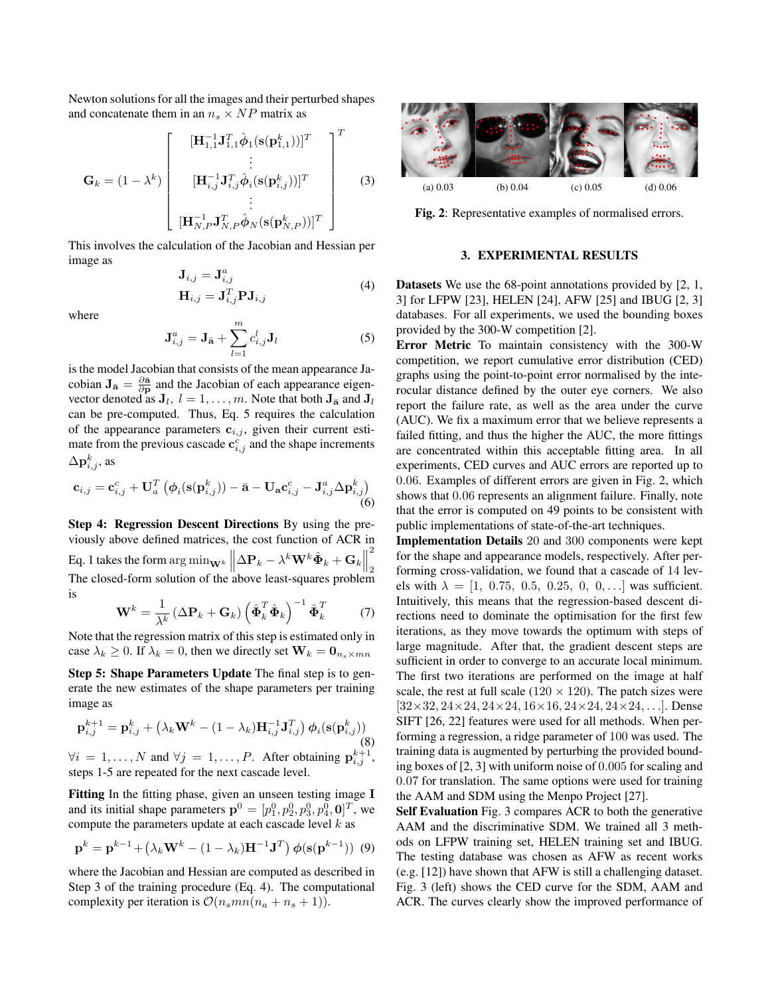Newton solutions for all the images and their perturbed shapes and concatenate them in an  $n_s \times NP$  matrix as

$$
\left[ \begin{array}{cc} & [\mathbf{H}_{1,1}^{-1}\mathbf{J}_{1,1}^T\hat{\boldsymbol{\phi}}_1(\mathbf{s}(\mathbf{p}_{1,1}^k))]^T \\ & \vdots \end{array} \right]^T
$$

$$
\mathbf{G}_k = (1 - \lambda^k) \begin{bmatrix} \vdots \\ [\mathbf{H}_{i,j}^{-1} \mathbf{J}_{i,j}^T \hat{\boldsymbol{\phi}}_i(\mathbf{s}(\mathbf{p}_{i,j}^k))]^T \\ \vdots \\ [\mathbf{H}_{N,P}^{-1} \mathbf{J}_{N,P}^T \hat{\boldsymbol{\phi}}_N(\mathbf{s}(\mathbf{p}_{N,P}^k))]^T \end{bmatrix}
$$
(3)

This involves the calculation of the Jacobian and Hessian per image as

$$
\mathbf{J}_{i,j} = \mathbf{J}_{i,j}^a
$$
  
\n
$$
\mathbf{H}_{i,j} = \mathbf{J}_{i,j}^T \mathbf{P} \mathbf{J}_{i,j}
$$
 (4)

where

$$
\mathbf{J}_{i,j}^a = \mathbf{J}_{\bar{\mathbf{a}}} + \sum_{l=1}^m c_{i,j}^l \mathbf{J}_l
$$
 (5)

is the model Jacobian that consists of the mean appearance Jacobian  $J_{\bar{a}} = \frac{\partial \bar{a}}{\partial p}$  and the Jacobian of each appearance eigenvector denoted as  $J_l, l = 1, \ldots, m$ . Note that both  $J_{\bar{a}}$  and  $J_l$ can be pre-computed. Thus, Eq. 5 requires the calculation of the appearance parameters  $c_{i,j}$ , given their current estimate from the previous cascade  $\mathbf{c}_{i,j}^c$  and the shape increments  $\Delta \mathbf p_{i,j}^k,$  as

$$
\mathbf{c}_{i,j} = \mathbf{c}_{i,j}^c + \mathbf{U}_a^T \left( \phi_i(\mathbf{s}(\mathbf{p}_{i,j}^k)) - \bar{\mathbf{a}} - \mathbf{U}_\mathbf{a} \mathbf{c}_{i,j}^c - \mathbf{J}_{i,j}^a \Delta \mathbf{p}_{i,j}^k \right)
$$
(6)

Step 4: Regression Descent Directions By using the previously above defined matrices, the cost function of ACR in Eq. 1 takes the form  $\arg \min_{\mathbf{W}^k} \left\| \Delta \mathbf{P}_k - \lambda^k \mathbf{W}^k \hat{\mathbf{\Phi}}_k + \mathbf{G}_k \right\|$ 2 2 The closed-form solution of the above least-squares problem is

$$
\mathbf{W}^{k} = \frac{1}{\lambda^{k}} \left( \Delta \mathbf{P}_{k} + \mathbf{G}_{k} \right) \left( \hat{\mathbf{\Phi}}_{k}^{T} \hat{\mathbf{\Phi}}_{k} \right)^{-1} \hat{\mathbf{\Phi}}_{k}^{T} \tag{7}
$$

Note that the regression matrix of this step is estimated only in case  $\lambda_k \geq 0$ . If  $\lambda_k = 0$ , then we directly set  $\mathbf{W}_k = \mathbf{0}_{n_s \times mn}$ 

Step 5: Shape Parameters Update The final step is to generate the new estimates of the shape parameters per training image as

$$
\mathbf{p}_{i,j}^{k+1} = \mathbf{p}_{i,j}^{k} + \left(\lambda_k \mathbf{W}^k - (1 - \lambda_k) \mathbf{H}_{i,j}^{-1} \mathbf{J}_{i,j}^T\right) \boldsymbol{\phi}_i(\mathbf{s}(\mathbf{p}_{i,j}^k))
$$
\n(8)

 $\forall i = 1, \ldots, N$  and  $\forall j = 1, \ldots, P$ . After obtaining  $\mathbf{p}_{i,j}^{k+1}$ , steps 1-5 are repeated for the next cascade level.

Fitting In the fitting phase, given an unseen testing image I and its initial shape parameters  $\mathbf{p}^0 = [p_1^0, p_2^0, p_3^0, p_4^0, \mathbf{0}]^T$ , we compute the parameters update at each cascade level  $k$  as

$$
\mathbf{p}^{k} = \mathbf{p}^{k-1} + \left(\lambda_k \mathbf{W}^k - (1 - \lambda_k) \mathbf{H}^{-1} \mathbf{J}^T\right) \phi(\mathbf{s}(\mathbf{p}^{k-1})) \tag{9}
$$

where the Jacobian and Hessian are computed as described in Step 3 of the training procedure (Eq. 4). The computational complexity per iteration is  $\mathcal{O}(n_s mn(n_a + n_s + 1)).$ 



Fig. 2: Representative examples of normalised errors.

## 3. EXPERIMENTAL RESULTS

Datasets We use the 68-point annotations provided by [2, 1, 3] for LFPW [23], HELEN [24], AFW [25] and IBUG [2, 3] databases. For all experiments, we used the bounding boxes provided by the 300-W competition [2].

Error Metric To maintain consistency with the 300-W competition, we report cumulative error distribution (CED) graphs using the point-to-point error normalised by the interocular distance defined by the outer eye corners. We also report the failure rate, as well as the area under the curve (AUC). We fix a maximum error that we believe represents a failed fitting, and thus the higher the AUC, the more fittings are concentrated within this acceptable fitting area. In all experiments, CED curves and AUC errors are reported up to 0.06. Examples of different errors are given in Fig. 2, which shows that 0.06 represents an alignment failure. Finally, note that the error is computed on 49 points to be consistent with public implementations of state-of-the-art techniques.

Implementation Details 20 and 300 components were kept for the shape and appearance models, respectively. After performing cross-validation, we found that a cascade of 14 levels with  $\lambda = [1, 0.75, 0.5, 0.25, 0, 0, \ldots]$  was sufficient. Intuitively, this means that the regression-based descent directions need to dominate the optimisation for the first few iterations, as they move towards the optimum with steps of large magnitude. After that, the gradient descent steps are sufficient in order to converge to an accurate local minimum. The first two iterations are performed on the image at half scale, the rest at full scale ( $120 \times 120$ ). The patch sizes were  $[32\times32, 24\times24, 24\times24, 16\times16, 24\times24, 24\times24, \ldots]$ . Dense SIFT [26, 22] features were used for all methods. When performing a regression, a ridge parameter of 100 was used. The training data is augmented by perturbing the provided bounding boxes of [2, 3] with uniform noise of 0.005 for scaling and 0.07 for translation. The same options were used for training the AAM and SDM using the Menpo Project [27].

Self Evaluation Fig. 3 compares ACR to both the generative AAM and the discriminative SDM. We trained all 3 methods on LFPW training set, HELEN training set and IBUG. The testing database was chosen as AFW as recent works (e.g. [12]) have shown that AFW is still a challenging dataset. Fig. 3 (left) shows the CED curve for the SDM, AAM and ACR. The curves clearly show the improved performance of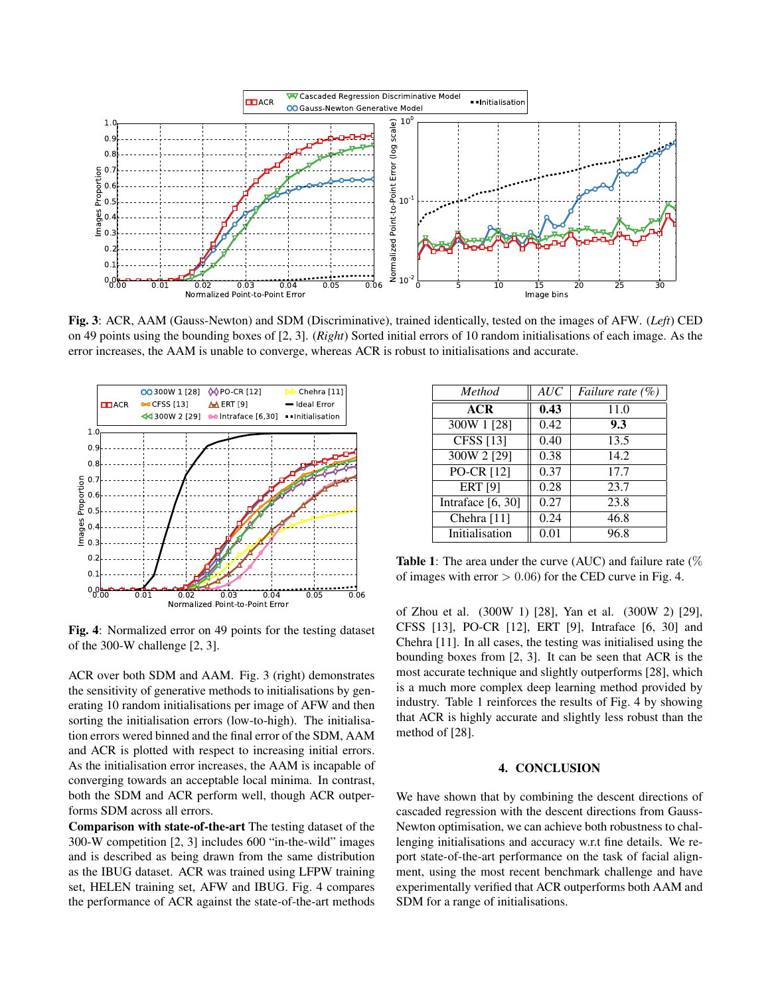

Fig. 3: ACR, AAM (Gauss-Newton) and SDM (Discriminative), trained identically, tested on the images of AFW. (*Left*) CED on 49 points using the bounding boxes of [2, 3]. (*Right*) Sorted initial errors of 10 random initialisations of each image. As the error increases, the AAM is unable to converge, whereas ACR is robust to initialisations and accurate.



Fig. 4: Normalized error on 49 points for the testing dataset of the 300-W challenge [2, 3].

ACR over both SDM and AAM. Fig. 3 (right) demonstrates the sensitivity of generative methods to initialisations by generating 10 random initialisations per image of AFW and then sorting the initialisation errors (low-to-high). The initialisation errors wered binned and the final error of the SDM, AAM and ACR is plotted with respect to increasing initial errors. As the initialisation error increases, the AAM is incapable of converging towards an acceptable local minima. In contrast, both the SDM and ACR perform well, though ACR outperforms SDM across all errors.

Comparison with state-of-the-art The testing dataset of the 300-W competition [2, 3] includes 600 "in-the-wild" images and is described as being drawn from the same distribution as the IBUG dataset. ACR was trained using LFPW training set, HELEN training set, AFW and IBUG. Fig. 4 compares the performance of ACR against the state-of-the-art methods

| <b>Method</b>          | AUC  | <i>Failure rate</i> $(\%)$ |
|------------------------|------|----------------------------|
| ACR                    | 0.43 | 11.0                       |
| 300W 1 [28]            | 0.42 | 9.3                        |
| $\overline{CFSS}$ [13] | 0.40 | 13.5                       |
| 300W 2 [29]            | 0.38 | 14.2                       |
| PO-CR [12]             | 0.37 | 17.7                       |
| ERT[9]                 | 0.28 | 23.7                       |
| Intraface $[6, 30]$    | 0.27 | 23.8                       |
| Chehra [11]            | 0.24 | 46.8                       |
| Initialisation         | 0.01 | 96.8                       |

**Table 1:** The area under the curve (AUC) and failure rate  $(\%)$ of images with error  $> 0.06$  for the CED curve in Fig. 4.

of Zhou et al. (300W 1) [28], Yan et al. (300W 2) [29], CFSS [13], PO-CR [12], ERT [9], Intraface [6, 30] and Chehra [11]. In all cases, the testing was initialised using the bounding boxes from [2, 3]. It can be seen that ACR is the most accurate technique and slightly outperforms [28], which is a much more complex deep learning method provided by industry. Table 1 reinforces the results of Fig. 4 by showing that ACR is highly accurate and slightly less robust than the method of [28].

### 4. CONCLUSION

We have shown that by combining the descent directions of cascaded regression with the descent directions from Gauss-Newton optimisation, we can achieve both robustness to challenging initialisations and accuracy w.r.t fine details. We report state-of-the-art performance on the task of facial alignment, using the most recent benchmark challenge and have experimentally verified that ACR outperforms both AAM and SDM for a range of initialisations.